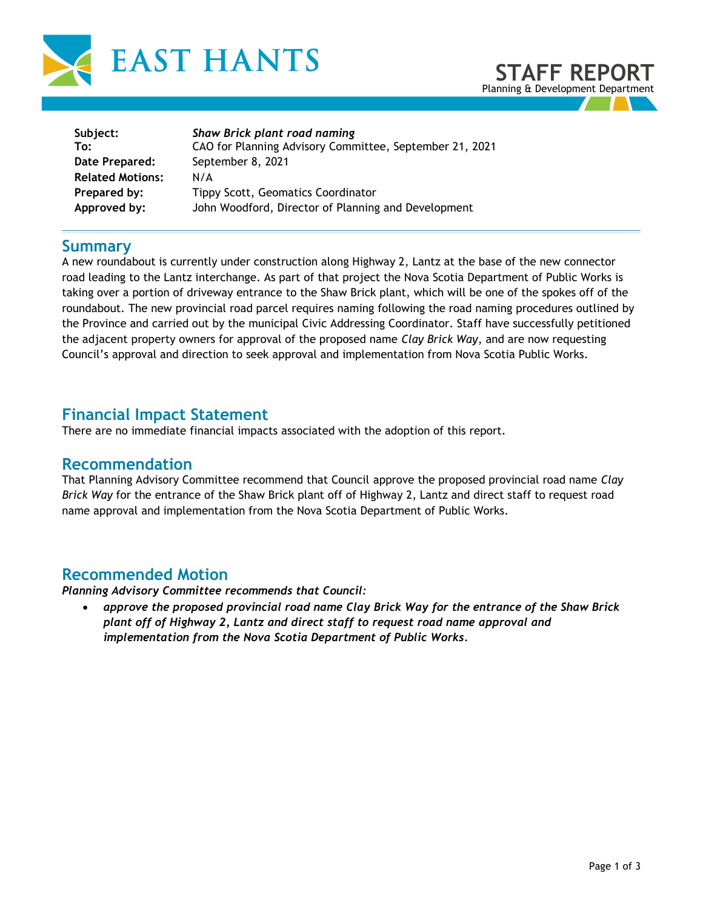



| Shaw Brick plant road naming                            |
|---------------------------------------------------------|
| CAO for Planning Advisory Committee, September 21, 2021 |
| September 8, 2021                                       |
| N/A                                                     |
| <b>Tippy Scott, Geomatics Coordinator</b>               |
| John Woodford, Director of Planning and Development     |
|                                                         |

### **Summary**

A new roundabout is currently under construction along Highway 2, Lantz at the base of the new connector road leading to the Lantz interchange. As part of that project the Nova Scotia Department of Public Works is taking over a portion of driveway entrance to the Shaw Brick plant, which will be one of the spokes off of the roundabout. The new provincial road parcel requires naming following the road naming procedures outlined by the Province and carried out by the municipal Civic Addressing Coordinator. Staff have successfully petitioned the adjacent property owners for approval of the proposed name *Clay Brick Way*, and are now requesting Council's approval and direction to seek approval and implementation from Nova Scotia Public Works.

### **Financial Impact Statement**

There are no immediate financial impacts associated with the adoption of this report.

#### **Recommendation**

That Planning Advisory Committee recommend that Council approve the proposed provincial road name *Clay Brick Way* for the entrance of the Shaw Brick plant off of Highway 2, Lantz and direct staff to request road name approval and implementation from the Nova Scotia Department of Public Works.

### **Recommended Motion**

*Planning Advisory Committee recommends that Council:* 

• *approve the proposed provincial road name Clay Brick Way for the entrance of the Shaw Brick plant off of Highway 2, Lantz and direct staff to request road name approval and implementation from the Nova Scotia Department of Public Works.*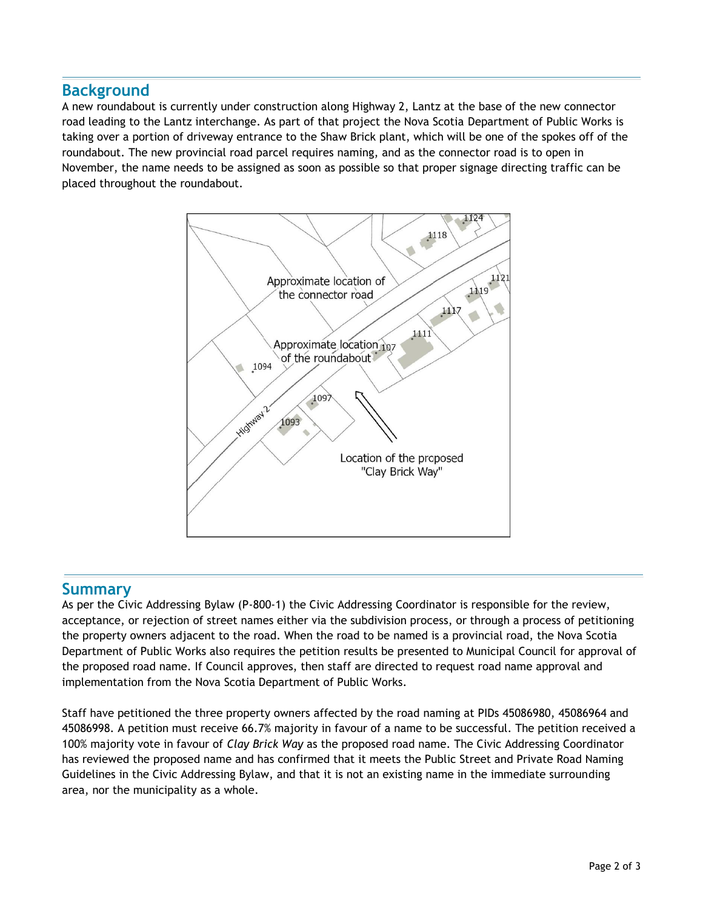# **Background**

A new roundabout is currently under construction along Highway 2, Lantz at the base of the new connector road leading to the Lantz interchange. As part of that project the Nova Scotia Department of Public Works is taking over a portion of driveway entrance to the Shaw Brick plant, which will be one of the spokes off of the roundabout. The new provincial road parcel requires naming, and as the connector road is to open in November, the name needs to be assigned as soon as possible so that proper signage directing traffic can be placed throughout the roundabout.



### **Summary**

As per the Civic Addressing Bylaw (P-800-1) the Civic Addressing Coordinator is responsible for the review, acceptance, or rejection of street names either via the subdivision process, or through a process of petitioning the property owners adjacent to the road. When the road to be named is a provincial road, the Nova Scotia Department of Public Works also requires the petition results be presented to Municipal Council for approval of the proposed road name. If Council approves, then staff are directed to request road name approval and implementation from the Nova Scotia Department of Public Works.

Staff have petitioned the three property owners affected by the road naming at PIDs 45086980, 45086964 and 45086998. A petition must receive 66.7% majority in favour of a name to be successful. The petition received a 100% majority vote in favour of *Clay Brick Way* as the proposed road name. The Civic Addressing Coordinator has reviewed the proposed name and has confirmed that it meets the Public Street and Private Road Naming Guidelines in the Civic Addressing Bylaw, and that it is not an existing name in the immediate surrounding area, nor the municipality as a whole.